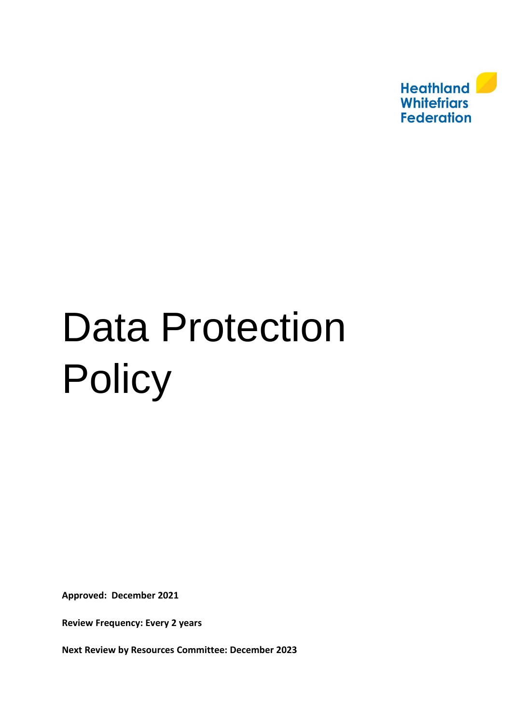

# <span id="page-0-0"></span>Data Protection **Policy**

**Approved: December 2021**

**Review Frequency: Every 2 years** 

**Next Review by Resources Committee: December 2023**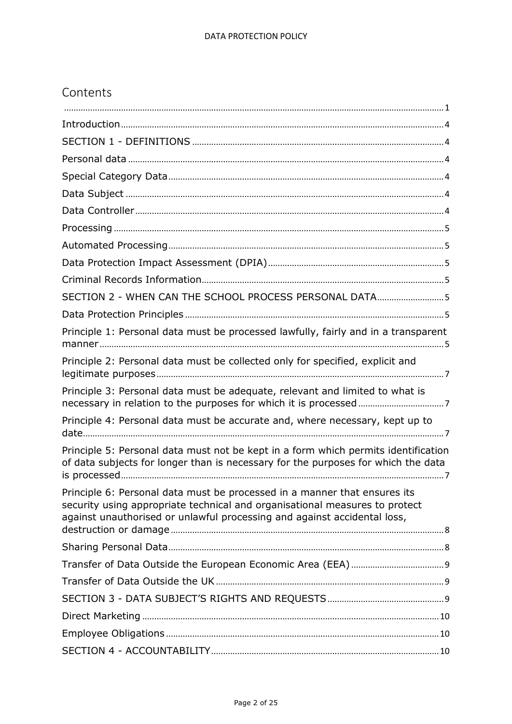# Contents

| SECTION 2 - WHEN CAN THE SCHOOL PROCESS PERSONAL DATA5                                                                                                                                                                               |
|--------------------------------------------------------------------------------------------------------------------------------------------------------------------------------------------------------------------------------------|
|                                                                                                                                                                                                                                      |
| Principle 1: Personal data must be processed lawfully, fairly and in a transparent                                                                                                                                                   |
| Principle 2: Personal data must be collected only for specified, explicit and                                                                                                                                                        |
| Principle 3: Personal data must be adequate, relevant and limited to what is                                                                                                                                                         |
| Principle 4: Personal data must be accurate and, where necessary, kept up to                                                                                                                                                         |
| Principle 5: Personal data must not be kept in a form which permits identification<br>of data subjects for longer than is necessary for the purposes for which the data                                                              |
| Principle 6: Personal data must be processed in a manner that ensures its<br>security using appropriate technical and organisational measures to protect<br>against unauthorised or unlawful processing and against accidental loss, |
|                                                                                                                                                                                                                                      |
|                                                                                                                                                                                                                                      |
|                                                                                                                                                                                                                                      |
|                                                                                                                                                                                                                                      |
|                                                                                                                                                                                                                                      |
|                                                                                                                                                                                                                                      |
|                                                                                                                                                                                                                                      |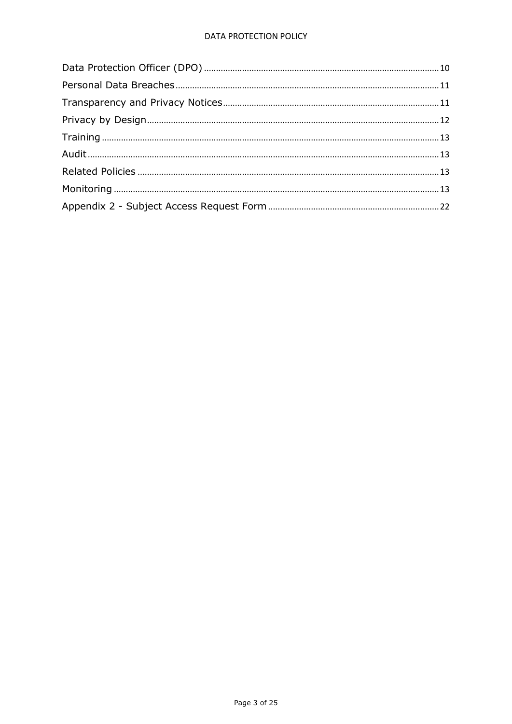# **DATA PROTECTION POLICY**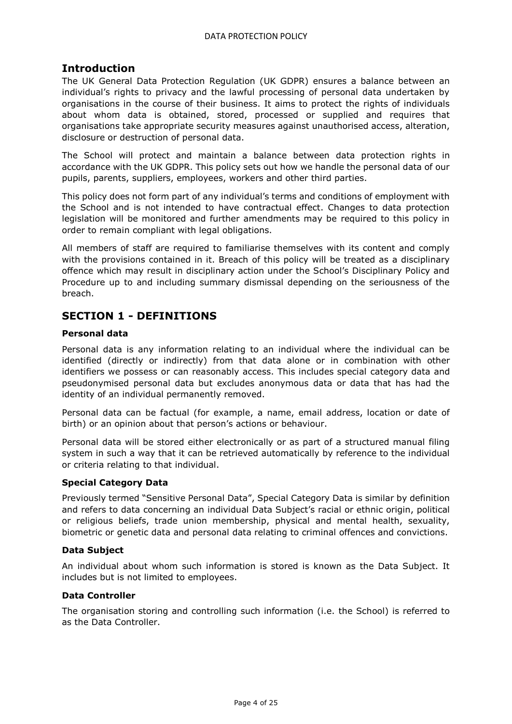# <span id="page-3-0"></span>**Introduction**

The UK General Data Protection Regulation (UK GDPR) ensures a balance between an individual's rights to privacy and the lawful processing of personal data undertaken by organisations in the course of their business. It aims to protect the rights of individuals about whom data is obtained, stored, processed or supplied and requires that organisations take appropriate security measures against unauthorised access, alteration, disclosure or destruction of personal data.

The School will protect and maintain a balance between data protection rights in accordance with the UK GDPR. This policy sets out how we handle the personal data of our pupils, parents, suppliers, employees, workers and other third parties.

This policy does not form part of any individual's terms and conditions of employment with the School and is not intended to have contractual effect. Changes to data protection legislation will be monitored and further amendments may be required to this policy in order to remain compliant with legal obligations.

All members of staff are required to familiarise themselves with its content and comply with the provisions contained in it. Breach of this policy will be treated as a disciplinary offence which may result in disciplinary action under the School's Disciplinary Policy and Procedure up to and including summary dismissal depending on the seriousness of the breach.

# <span id="page-3-1"></span>**SECTION 1 - DEFINITIONS**

# <span id="page-3-2"></span>**Personal data**

Personal data is any information relating to an individual where the individual can be identified (directly or indirectly) from that data alone or in combination with other identifiers we possess or can reasonably access. This includes special category data and pseudonymised personal data but excludes anonymous data or data that has had the identity of an individual permanently removed.

Personal data can be factual (for example, a name, email address, location or date of birth) or an opinion about that person's actions or behaviour.

Personal data will be stored either electronically or as part of a structured manual filing system in such a way that it can be retrieved automatically by reference to the individual or criteria relating to that individual.

# <span id="page-3-3"></span>**Special Category Data**

Previously termed "Sensitive Personal Data", Special Category Data is similar by definition and refers to data concerning an individual Data Subject's racial or ethnic origin, political or religious beliefs, trade union membership, physical and mental health, sexuality, biometric or genetic data and personal data relating to criminal offences and convictions.

# <span id="page-3-4"></span>**Data Subject**

An individual about whom such information is stored is known as the Data Subject. It includes but is not limited to employees.

# <span id="page-3-5"></span>**Data Controller**

The organisation storing and controlling such information (i.e. the School) is referred to as the Data Controller.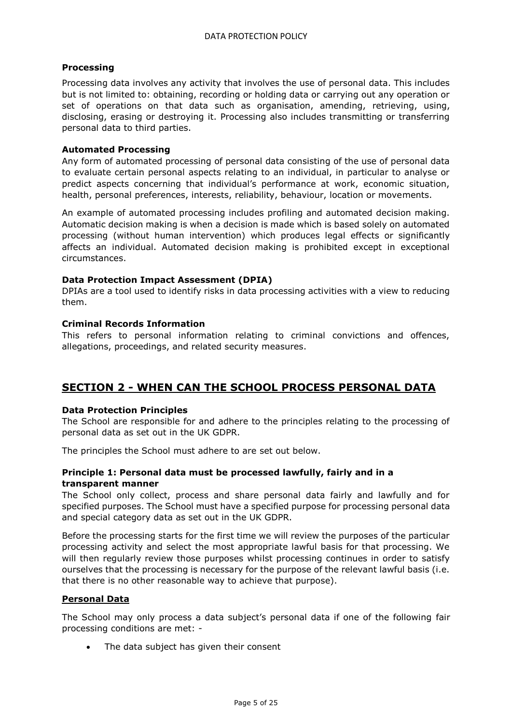# <span id="page-4-0"></span>**Processing**

Processing data involves any activity that involves the use of personal data. This includes but is not limited to: obtaining, recording or holding data or carrying out any operation or set of operations on that data such as organisation, amending, retrieving, using, disclosing, erasing or destroying it. Processing also includes transmitting or transferring personal data to third parties.

#### <span id="page-4-1"></span>**Automated Processing**

Any form of automated processing of personal data consisting of the use of personal data to evaluate certain personal aspects relating to an individual, in particular to analyse or predict aspects concerning that individual's performance at work, economic situation, health, personal preferences, interests, reliability, behaviour, location or movements.

An example of automated processing includes profiling and automated decision making. Automatic decision making is when a decision is made which is based solely on automated processing (without human intervention) which produces legal effects or significantly affects an individual. Automated decision making is prohibited except in exceptional circumstances.

#### <span id="page-4-2"></span>**Data Protection Impact Assessment (DPIA)**

DPIAs are a tool used to identify risks in data processing activities with a view to reducing them.

#### <span id="page-4-3"></span>**Criminal Records Information**

This refers to personal information relating to criminal convictions and offences, allegations, proceedings, and related security measures.

# <span id="page-4-4"></span>**SECTION 2 - WHEN CAN THE SCHOOL PROCESS PERSONAL DATA**

#### <span id="page-4-5"></span>**Data Protection Principles**

The School are responsible for and adhere to the principles relating to the processing of personal data as set out in the UK GDPR.

The principles the School must adhere to are set out below.

#### <span id="page-4-6"></span>**Principle 1: Personal data must be processed lawfully, fairly and in a transparent manner**

The School only collect, process and share personal data fairly and lawfully and for specified purposes. The School must have a specified purpose for processing personal data and special category data as set out in the UK GDPR.

Before the processing starts for the first time we will review the purposes of the particular processing activity and select the most appropriate lawful basis for that processing. We will then regularly review those purposes whilst processing continues in order to satisfy ourselves that the processing is necessary for the purpose of the relevant lawful basis (i.e. that there is no other reasonable way to achieve that purpose).

# **Personal Data**

The School may only process a data subject's personal data if one of the following fair processing conditions are met: -

• The data subject has given their consent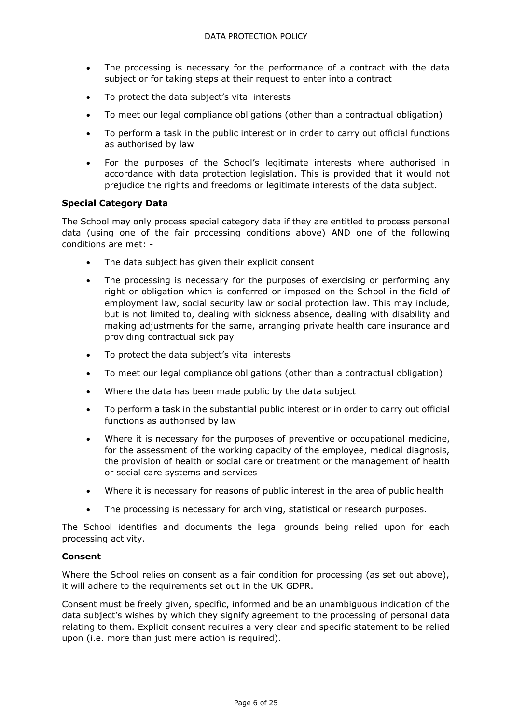- The processing is necessary for the performance of a contract with the data subject or for taking steps at their request to enter into a contract
- To protect the data subject's vital interests
- To meet our legal compliance obligations (other than a contractual obligation)
- To perform a task in the public interest or in order to carry out official functions as authorised by law
- For the purposes of the School's legitimate interests where authorised in accordance with data protection legislation. This is provided that it would not prejudice the rights and freedoms or legitimate interests of the data subject.

# **Special Category Data**

The School may only process special category data if they are entitled to process personal data (using one of the fair processing conditions above) AND one of the following conditions are met: -

- The data subject has given their explicit consent
- The processing is necessary for the purposes of exercising or performing any right or obligation which is conferred or imposed on the School in the field of employment law, social security law or social protection law. This may include, but is not limited to, dealing with sickness absence, dealing with disability and making adjustments for the same, arranging private health care insurance and providing contractual sick pay
- To protect the data subject's vital interests
- To meet our legal compliance obligations (other than a contractual obligation)
- Where the data has been made public by the data subject
- To perform a task in the substantial public interest or in order to carry out official functions as authorised by law
- Where it is necessary for the purposes of preventive or occupational medicine, for the assessment of the working capacity of the employee, medical diagnosis, the provision of health or social care or treatment or the management of health or social care systems and services
- Where it is necessary for reasons of public interest in the area of public health
- The processing is necessary for archiving, statistical or research purposes.

The School identifies and documents the legal grounds being relied upon for each processing activity.

#### **Consent**

Where the School relies on consent as a fair condition for processing (as set out above), it will adhere to the requirements set out in the UK GDPR.

Consent must be freely given, specific, informed and be an unambiguous indication of the data subject's wishes by which they signify agreement to the processing of personal data relating to them. Explicit consent requires a very clear and specific statement to be relied upon (i.e. more than just mere action is required).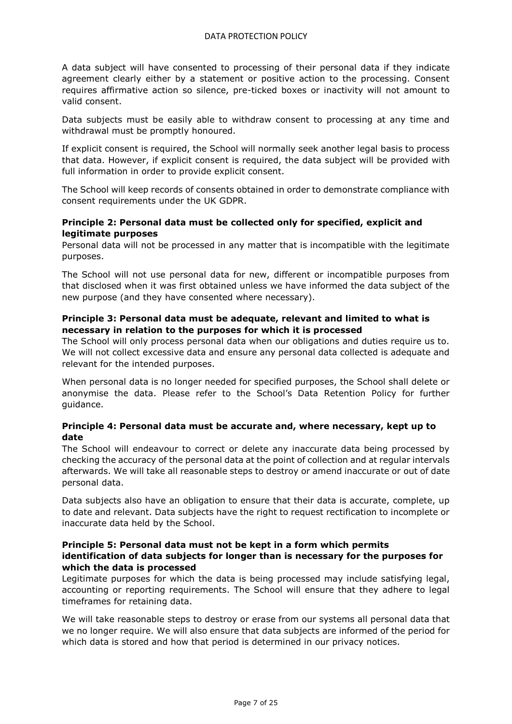A data subject will have consented to processing of their personal data if they indicate agreement clearly either by a statement or positive action to the processing. Consent requires affirmative action so silence, pre-ticked boxes or inactivity will not amount to valid consent.

Data subjects must be easily able to withdraw consent to processing at any time and withdrawal must be promptly honoured.

If explicit consent is required, the School will normally seek another legal basis to process that data. However, if explicit consent is required, the data subject will be provided with full information in order to provide explicit consent.

The School will keep records of consents obtained in order to demonstrate compliance with consent requirements under the UK GDPR.

# <span id="page-6-0"></span>**Principle 2: Personal data must be collected only for specified, explicit and legitimate purposes**

Personal data will not be processed in any matter that is incompatible with the legitimate purposes.

The School will not use personal data for new, different or incompatible purposes from that disclosed when it was first obtained unless we have informed the data subject of the new purpose (and they have consented where necessary).

# <span id="page-6-1"></span>**Principle 3: Personal data must be adequate, relevant and limited to what is necessary in relation to the purposes for which it is processed**

The School will only process personal data when our obligations and duties require us to. We will not collect excessive data and ensure any personal data collected is adequate and relevant for the intended purposes.

When personal data is no longer needed for specified purposes, the School shall delete or anonymise the data. Please refer to the School's Data Retention Policy for further guidance.

# <span id="page-6-2"></span>**Principle 4: Personal data must be accurate and, where necessary, kept up to date**

The School will endeavour to correct or delete any inaccurate data being processed by checking the accuracy of the personal data at the point of collection and at regular intervals afterwards. We will take all reasonable steps to destroy or amend inaccurate or out of date personal data.

Data subjects also have an obligation to ensure that their data is accurate, complete, up to date and relevant. Data subjects have the right to request rectification to incomplete or inaccurate data held by the School.

#### <span id="page-6-3"></span>**Principle 5: Personal data must not be kept in a form which permits identification of data subjects for longer than is necessary for the purposes for which the data is processed**

Legitimate purposes for which the data is being processed may include satisfying legal, accounting or reporting requirements. The School will ensure that they adhere to legal timeframes for retaining data.

We will take reasonable steps to destroy or erase from our systems all personal data that we no longer require. We will also ensure that data subjects are informed of the period for which data is stored and how that period is determined in our privacy notices.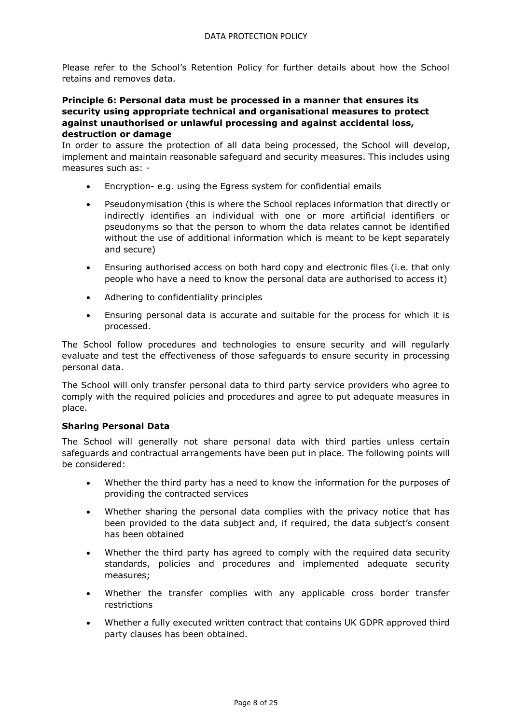Please refer to the School's Retention Policy for further details about how the School retains and removes data.

#### <span id="page-7-0"></span>**Principle 6: Personal data must be processed in a manner that ensures its security using appropriate technical and organisational measures to protect against unauthorised or unlawful processing and against accidental loss, destruction or damage**

In order to assure the protection of all data being processed, the School will develop, implement and maintain reasonable safeguard and security measures. This includes using measures such as: -

- Encryption- e.g. using the Egress system for confidential emails
- Pseudonymisation (this is where the School replaces information that directly or indirectly identifies an individual with one or more artificial identifiers or pseudonyms so that the person to whom the data relates cannot be identified without the use of additional information which is meant to be kept separately and secure)
- Ensuring authorised access on both hard copy and electronic files (i.e. that only people who have a need to know the personal data are authorised to access it)
- Adhering to confidentiality principles
- Ensuring personal data is accurate and suitable for the process for which it is processed.

The School follow procedures and technologies to ensure security and will regularly evaluate and test the effectiveness of those safeguards to ensure security in processing personal data.

The School will only transfer personal data to third party service providers who agree to comply with the required policies and procedures and agree to put adequate measures in place.

# <span id="page-7-1"></span>**Sharing Personal Data**

The School will generally not share personal data with third parties unless certain safeguards and contractual arrangements have been put in place. The following points will be considered:

- Whether the third party has a need to know the information for the purposes of providing the contracted services
- Whether sharing the personal data complies with the privacy notice that has been provided to the data subject and, if required, the data subject's consent has been obtained
- Whether the third party has agreed to comply with the required data security standards, policies and procedures and implemented adequate security measures;
- Whether the transfer complies with any applicable cross border transfer restrictions
- Whether a fully executed written contract that contains UK GDPR approved third party clauses has been obtained.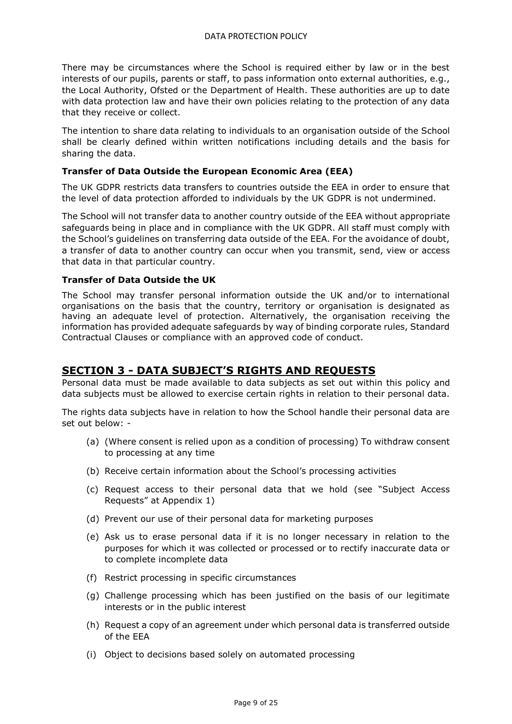There may be circumstances where the School is required either by law or in the best interests of our pupils, parents or staff, to pass information onto external authorities, e.g., the Local Authority, Ofsted or the Department of Health. These authorities are up to date with data protection law and have their own policies relating to the protection of any data that they receive or collect.

The intention to share data relating to individuals to an organisation outside of the School shall be clearly defined within written notifications including details and the basis for sharing the data.

#### <span id="page-8-0"></span>**Transfer of Data Outside the European Economic Area (EEA)**

The UK GDPR restricts data transfers to countries outside the EEA in order to ensure that the level of data protection afforded to individuals by the UK GDPR is not undermined.

The School will not transfer data to another country outside of the EEA without appropriate safeguards being in place and in compliance with the UK GDPR. All staff must comply with the School's guidelines on transferring data outside of the EEA. For the avoidance of doubt, a transfer of data to another country can occur when you transmit, send, view or access that data in that particular country.

#### <span id="page-8-1"></span>**Transfer of Data Outside the UK**

The School may transfer personal information outside the UK and/or to international organisations on the basis that the country, territory or organisation is designated as having an adequate level of protection. Alternatively, the organisation receiving the information has provided adequate safeguards by way of binding corporate rules, Standard Contractual Clauses or compliance with an approved code of conduct.

# <span id="page-8-2"></span>**SECTION 3 - DATA SUBJECT'S RIGHTS AND REQUESTS**

Personal data must be made available to data subjects as set out within this policy and data subjects must be allowed to exercise certain rights in relation to their personal data.

The rights data subjects have in relation to how the School handle their personal data are set out below: -

- (a) (Where consent is relied upon as a condition of processing) To withdraw consent to processing at any time
- (b) Receive certain information about the School's processing activities
- (c) Request access to their personal data that we hold (see "Subject Access Requests" at Appendix 1)
- (d) Prevent our use of their personal data for marketing purposes
- (e) Ask us to erase personal data if it is no longer necessary in relation to the purposes for which it was collected or processed or to rectify inaccurate data or to complete incomplete data
- (f) Restrict processing in specific circumstances
- (g) Challenge processing which has been justified on the basis of our legitimate interests or in the public interest
- (h) Request a copy of an agreement under which personal data is transferred outside of the EEA
- (i) Object to decisions based solely on automated processing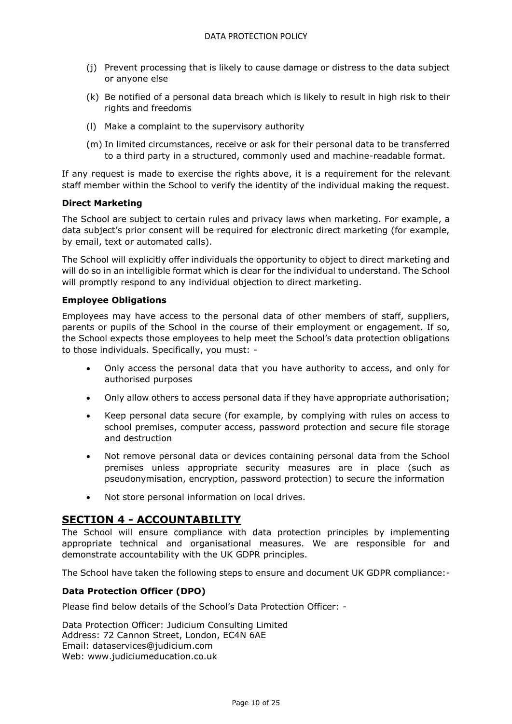- (j) Prevent processing that is likely to cause damage or distress to the data subject or anyone else
- (k) Be notified of a personal data breach which is likely to result in high risk to their rights and freedoms
- (l) Make a complaint to the supervisory authority
- (m) In limited circumstances, receive or ask for their personal data to be transferred to a third party in a structured, commonly used and machine-readable format.

If any request is made to exercise the rights above, it is a requirement for the relevant staff member within the School to verify the identity of the individual making the request.

#### <span id="page-9-0"></span>**Direct Marketing**

The School are subject to certain rules and privacy laws when marketing. For example, a data subject's prior consent will be required for electronic direct marketing (for example, by email, text or automated calls).

The School will explicitly offer individuals the opportunity to object to direct marketing and will do so in an intelligible format which is clear for the individual to understand. The School will promptly respond to any individual objection to direct marketing.

#### <span id="page-9-1"></span>**Employee Obligations**

Employees may have access to the personal data of other members of staff, suppliers, parents or pupils of the School in the course of their employment or engagement. If so, the School expects those employees to help meet the School's data protection obligations to those individuals. Specifically, you must: -

- Only access the personal data that you have authority to access, and only for authorised purposes
- Only allow others to access personal data if they have appropriate authorisation;
- Keep personal data secure (for example, by complying with rules on access to school premises, computer access, password protection and secure file storage and destruction
- Not remove personal data or devices containing personal data from the School premises unless appropriate security measures are in place (such as pseudonymisation, encryption, password protection) to secure the information
- Not store personal information on local drives.

# <span id="page-9-2"></span>**SECTION 4 - ACCOUNTABILITY**

The School will ensure compliance with data protection principles by implementing appropriate technical and organisational measures. We are responsible for and demonstrate accountability with the UK GDPR principles.

The School have taken the following steps to ensure and document UK GDPR compliance:-

# <span id="page-9-3"></span>**Data Protection Officer (DPO)**

Please find below details of the School's Data Protection Officer: -

Data Protection Officer: Judicium Consulting Limited Address: 72 Cannon Street, London, EC4N 6AE Email: [dataservices@judicium.com](mailto:dataservices@judicium.com) Web: www.judiciumeducation.co.uk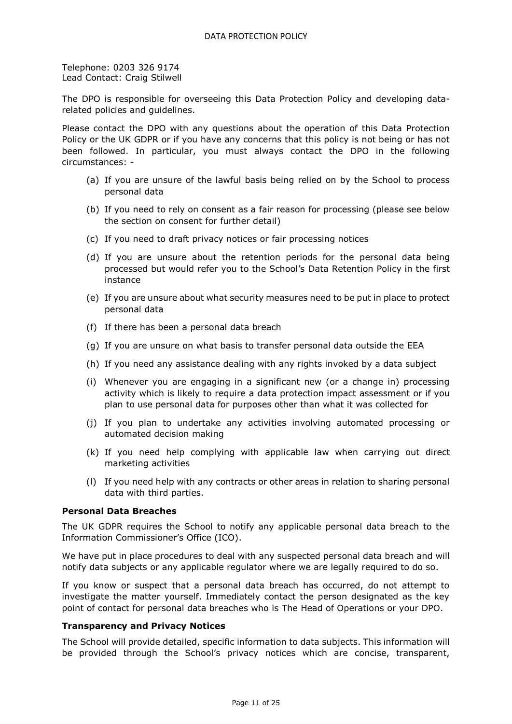Telephone: 0203 326 9174 Lead Contact: Craig Stilwell

The DPO is responsible for overseeing this Data Protection Policy and developing datarelated policies and guidelines.

Please contact the DPO with any questions about the operation of this Data Protection Policy or the UK GDPR or if you have any concerns that this policy is not being or has not been followed. In particular, you must always contact the DPO in the following circumstances: -

- (a) If you are unsure of the lawful basis being relied on by the School to process personal data
- (b) If you need to rely on consent as a fair reason for processing (please see below the section on consent for further detail)
- (c) If you need to draft privacy notices or fair processing notices
- (d) If you are unsure about the retention periods for the personal data being processed but would refer you to the School's Data Retention Policy in the first instance
- (e) If you are unsure about what security measures need to be put in place to protect personal data
- (f) If there has been a personal data breach
- (g) If you are unsure on what basis to transfer personal data outside the EEA
- (h) If you need any assistance dealing with any rights invoked by a data subject
- (i) Whenever you are engaging in a significant new (or a change in) processing activity which is likely to require a data protection impact assessment or if you plan to use personal data for purposes other than what it was collected for
- (j) If you plan to undertake any activities involving automated processing or automated decision making
- (k) If you need help complying with applicable law when carrying out direct marketing activities
- (l) If you need help with any contracts or other areas in relation to sharing personal data with third parties.

#### <span id="page-10-0"></span>**Personal Data Breaches**

The UK GDPR requires the School to notify any applicable personal data breach to the Information Commissioner's Office (ICO).

We have put in place procedures to deal with any suspected personal data breach and will notify data subjects or any applicable regulator where we are legally required to do so.

If you know or suspect that a personal data breach has occurred, do not attempt to investigate the matter yourself. Immediately contact the person designated as the key point of contact for personal data breaches who is The Head of Operations or your DPO.

#### <span id="page-10-1"></span>**Transparency and Privacy Notices**

The School will provide detailed, specific information to data subjects. This information will be provided through the School's privacy notices which are concise, transparent,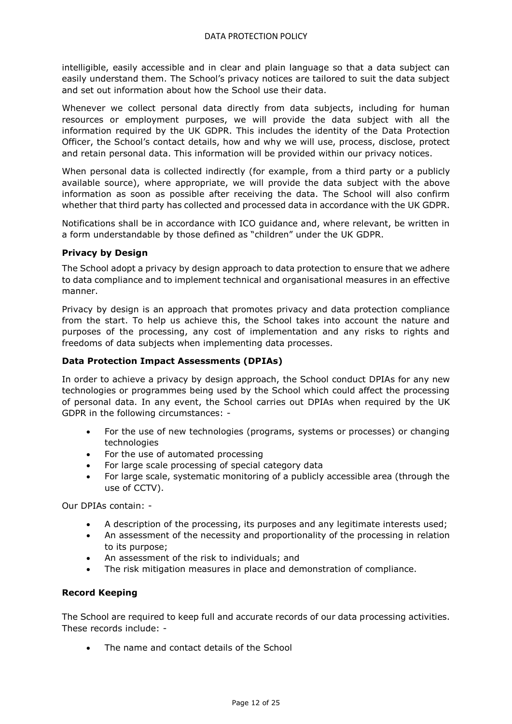intelligible, easily accessible and in clear and plain language so that a data subject can easily understand them. The School's privacy notices are tailored to suit the data subject and set out information about how the School use their data.

Whenever we collect personal data directly from data subjects, including for human resources or employment purposes, we will provide the data subject with all the information required by the UK GDPR. This includes the identity of the Data Protection Officer, the School's contact details, how and why we will use, process, disclose, protect and retain personal data. This information will be provided within our privacy notices.

When personal data is collected indirectly (for example, from a third party or a publicly available source), where appropriate, we will provide the data subject with the above information as soon as possible after receiving the data. The School will also confirm whether that third party has collected and processed data in accordance with the UK GDPR.

Notifications shall be in accordance with ICO guidance and, where relevant, be written in a form understandable by those defined as "children" under the UK GDPR.

# <span id="page-11-0"></span>**Privacy by Design**

The School adopt a privacy by design approach to data protection to ensure that we adhere to data compliance and to implement technical and organisational measures in an effective manner.

Privacy by design is an approach that promotes privacy and data protection compliance from the start. To help us achieve this, the School takes into account the nature and purposes of the processing, any cost of implementation and any risks to rights and freedoms of data subjects when implementing data processes.

# **Data Protection Impact Assessments (DPIAs)**

In order to achieve a privacy by design approach, the School conduct DPIAs for any new technologies or programmes being used by the School which could affect the processing of personal data. In any event, the School carries out DPIAs when required by the UK GDPR in the following circumstances: -

- For the use of new technologies (programs, systems or processes) or changing technologies
- For the use of automated processing
- For large scale processing of special category data
- For large scale, systematic monitoring of a publicly accessible area (through the use of CCTV).

Our DPIAs contain: -

- A description of the processing, its purposes and any legitimate interests used;
- An assessment of the necessity and proportionality of the processing in relation to its purpose;
- An assessment of the risk to individuals; and
- The risk mitigation measures in place and demonstration of compliance.

# **Record Keeping**

The School are required to keep full and accurate records of our data processing activities. These records include: -

The name and contact details of the School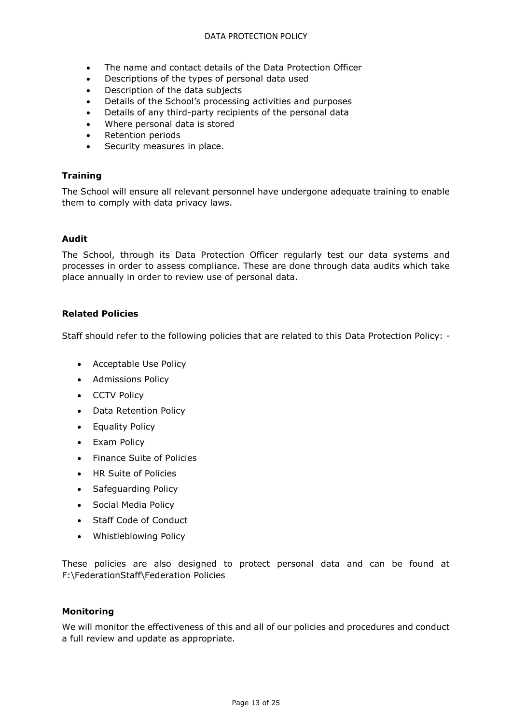#### DATA PROTECTION POLICY

- The name and contact details of the Data Protection Officer
- Descriptions of the types of personal data used
- Description of the data subjects
- Details of the School's processing activities and purposes
- Details of any third-party recipients of the personal data
- Where personal data is stored
- Retention periods
- Security measures in place.

#### <span id="page-12-0"></span>**Training**

The School will ensure all relevant personnel have undergone adequate training to enable them to comply with data privacy laws.

#### <span id="page-12-1"></span>**Audit**

The School, through its Data Protection Officer regularly test our data systems and processes in order to assess compliance. These are done through data audits which take place annually in order to review use of personal data.

#### <span id="page-12-2"></span>**Related Policies**

Staff should refer to the following policies that are related to this Data Protection Policy: -

- Acceptable Use Policy
- Admissions Policy
- CCTV Policy
- Data Retention Policy
- Equality Policy
- Exam Policy
- Finance Suite of Policies
- HR Suite of Policies
- Safeguarding Policy
- Social Media Policy
- Staff Code of Conduct
- Whistleblowing Policy

These policies are also designed to protect personal data and can be found at F:\FederationStaff\Federation Policies

#### <span id="page-12-3"></span>**Monitoring**

We will monitor the effectiveness of this and all of our policies and procedures and conduct a full review and update as appropriate.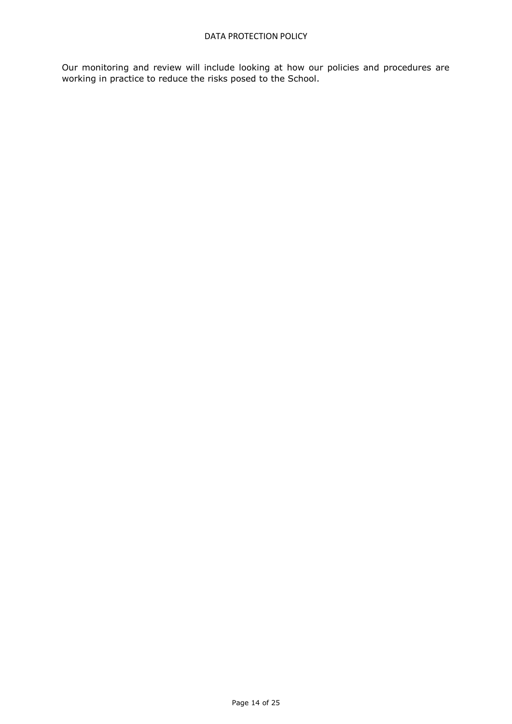Our monitoring and review will include looking at how our policies and procedures are working in practice to reduce the risks posed to the School.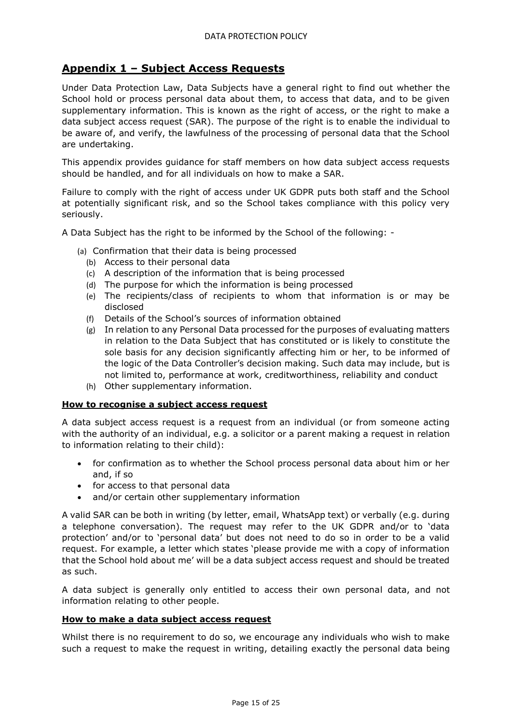# **Appendix 1 – Subject Access Requests**

Under Data Protection Law, Data Subjects have a general right to find out whether the School hold or process personal data about them, to access that data, and to be given supplementary information. This is known as the right of access, or the right to make a data subject access request (SAR). The purpose of the right is to enable the individual to be aware of, and verify, the lawfulness of the processing of personal data that the School are undertaking.

This appendix provides guidance for staff members on how data subject access requests should be handled, and for all individuals on how to make a SAR.

Failure to comply with the right of access under UK GDPR puts both staff and the School at potentially significant risk, and so the School takes compliance with this policy very seriously.

A Data Subject has the right to be informed by the School of the following: -

- (a) Confirmation that their data is being processed
	- (b) Access to their personal data
	- (c) A description of the information that is being processed
	- (d) The purpose for which the information is being processed
	- (e) The recipients/class of recipients to whom that information is or may be disclosed
	- (f) Details of the School's sources of information obtained
	- (g) In relation to any Personal Data processed for the purposes of evaluating matters in relation to the Data Subject that has constituted or is likely to constitute the sole basis for any decision significantly affecting him or her, to be informed of the logic of the Data Controller's decision making. Such data may include, but is not limited to, performance at work, creditworthiness, reliability and conduct
	- (h) Other supplementary information.

#### **How to recognise a subject access request**

A data subject access request is a request from an individual (or from someone acting with the authority of an individual, e.g. a solicitor or a parent making a request in relation to information relating to their child):

- for confirmation as to whether the School process personal data about him or her and, if so
- for access to that personal data
- and/or certain other supplementary information

A valid SAR can be both in writing (by letter, email, WhatsApp text) or verbally (e.g. during a telephone conversation). The request may refer to the UK GDPR and/or to 'data protection' and/or to 'personal data' but does not need to do so in order to be a valid request. For example, a letter which states 'please provide me with a copy of information that the School hold about me' will be a data subject access request and should be treated as such.

A data subject is generally only entitled to access their own personal data, and not information relating to other people.

#### **How to make a data subject access request**

Whilst there is no requirement to do so, we encourage any individuals who wish to make such a request to make the request in writing, detailing exactly the personal data being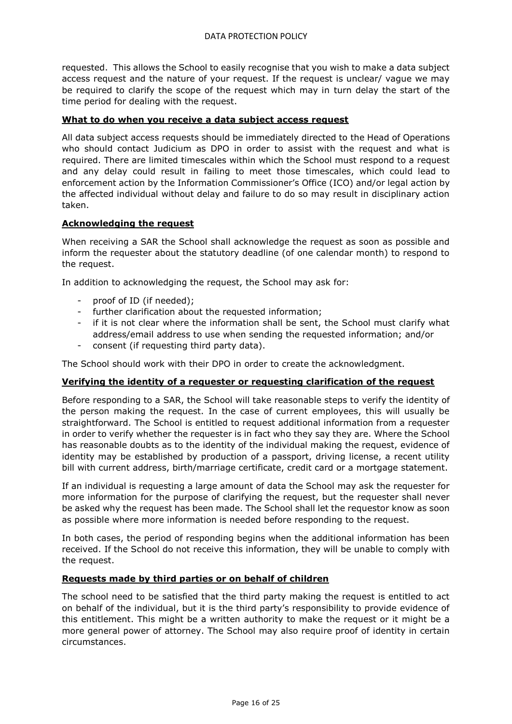requested. This allows the School to easily recognise that you wish to make a data subject access request and the nature of your request. If the request is unclear/ vague we may be required to clarify the scope of the request which may in turn delay the start of the time period for dealing with the request.

# **What to do when you receive a data subject access request**

All data subject access requests should be immediately directed to the Head of Operations who should contact Judicium as DPO in order to assist with the request and what is required. There are limited timescales within which the School must respond to a request and any delay could result in failing to meet those timescales, which could lead to enforcement action by the Information Commissioner's Office (ICO) and/or legal action by the affected individual without delay and failure to do so may result in disciplinary action taken.

# **Acknowledging the request**

When receiving a SAR the School shall acknowledge the request as soon as possible and inform the requester about the statutory deadline (of one calendar month) to respond to the request.

In addition to acknowledging the request, the School may ask for:

- proof of ID (if needed);
- further clarification about the requested information;
- if it is not clear where the information shall be sent, the School must clarify what address/email address to use when sending the requested information; and/or
- consent (if requesting third party data).

The School should work with their DPO in order to create the acknowledgment.

# **Verifying the identity of a requester or requesting clarification of the request**

Before responding to a SAR, the School will take reasonable steps to verify the identity of the person making the request. In the case of current employees, this will usually be straightforward. The School is entitled to request additional information from a requester in order to verify whether the requester is in fact who they say they are. Where the School has reasonable doubts as to the identity of the individual making the request, evidence of identity may be established by production of a passport, driving license, a recent utility bill with current address, birth/marriage certificate, credit card or a mortgage statement.

If an individual is requesting a large amount of data the School may ask the requester for more information for the purpose of clarifying the request, but the requester shall never be asked why the request has been made. The School shall let the requestor know as soon as possible where more information is needed before responding to the request.

In both cases, the period of responding begins when the additional information has been received. If the School do not receive this information, they will be unable to comply with the request.

#### **Requests made by third parties or on behalf of children**

The school need to be satisfied that the third party making the request is entitled to act on behalf of the individual, but it is the third party's responsibility to provide evidence of this entitlement. This might be a written authority to make the request or it might be a more general power of attorney. The School may also require proof of identity in certain circumstances.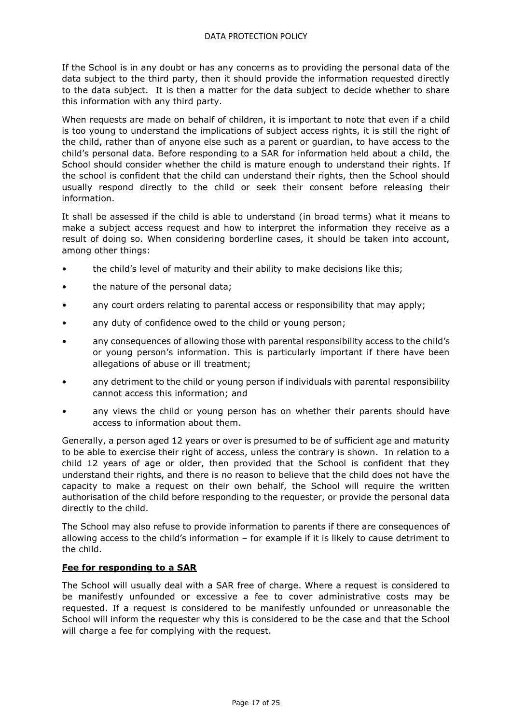If the School is in any doubt or has any concerns as to providing the personal data of the data subject to the third party, then it should provide the information requested directly to the data subject. It is then a matter for the data subject to decide whether to share this information with any third party.

When requests are made on behalf of children, it is important to note that even if a child is too young to understand the implications of subject access rights, it is still the right of the child, rather than of anyone else such as a parent or guardian, to have access to the child's personal data. Before responding to a SAR for information held about a child, the School should consider whether the child is mature enough to understand their rights. If the school is confident that the child can understand their rights, then the School should usually respond directly to the child or seek their consent before releasing their information.

It shall be assessed if the child is able to understand (in broad terms) what it means to make a subject access request and how to interpret the information they receive as a result of doing so. When considering borderline cases, it should be taken into account, among other things:

- the child's level of maturity and their ability to make decisions like this;
- the nature of the personal data;
- any court orders relating to parental access or responsibility that may apply;
- any duty of confidence owed to the child or young person;
- any consequences of allowing those with parental responsibility access to the child's or young person's information. This is particularly important if there have been allegations of abuse or ill treatment;
- any detriment to the child or young person if individuals with parental responsibility cannot access this information; and
- any views the child or young person has on whether their parents should have access to information about them.

Generally, a person aged 12 years or over is presumed to be of sufficient age and maturity to be able to exercise their right of access, unless the contrary is shown. In relation to a child 12 years of age or older, then provided that the School is confident that they understand their rights, and there is no reason to believe that the child does not have the capacity to make a request on their own behalf, the School will require the written authorisation of the child before responding to the requester, or provide the personal data directly to the child.

The School may also refuse to provide information to parents if there are consequences of allowing access to the child's information – for example if it is likely to cause detriment to the child.

# **Fee for responding to a SAR**

The School will usually deal with a SAR free of charge. Where a request is considered to be manifestly unfounded or excessive a fee to cover administrative costs may be requested. If a request is considered to be manifestly unfounded or unreasonable the School will inform the requester why this is considered to be the case and that the School will charge a fee for complying with the request.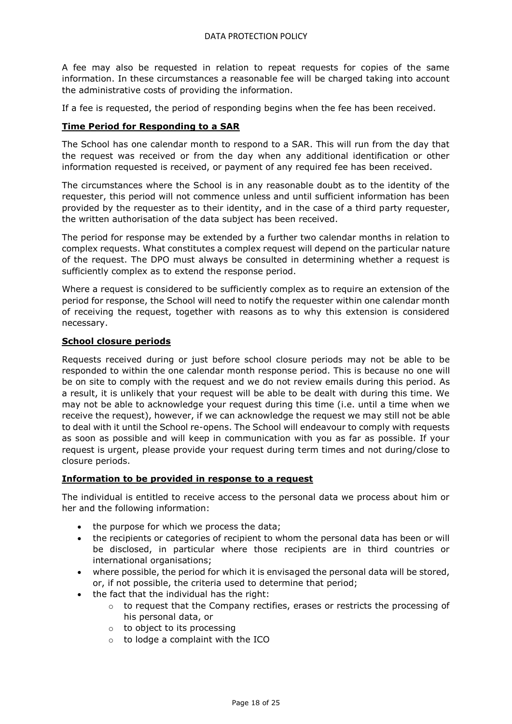A fee may also be requested in relation to repeat requests for copies of the same information. In these circumstances a reasonable fee will be charged taking into account the administrative costs of providing the information.

If a fee is requested, the period of responding begins when the fee has been received.

# **Time Period for Responding to a SAR**

The School has one calendar month to respond to a SAR. This will run from the day that the request was received or from the day when any additional identification or other information requested is received, or payment of any required fee has been received.

The circumstances where the School is in any reasonable doubt as to the identity of the requester, this period will not commence unless and until sufficient information has been provided by the requester as to their identity, and in the case of a third party requester, the written authorisation of the data subject has been received.

The period for response may be extended by a further two calendar months in relation to complex requests. What constitutes a complex request will depend on the particular nature of the request. The DPO must always be consulted in determining whether a request is sufficiently complex as to extend the response period.

Where a request is considered to be sufficiently complex as to require an extension of the period for response, the School will need to notify the requester within one calendar month of receiving the request, together with reasons as to why this extension is considered necessary.

#### **School closure periods**

Requests received during or just before school closure periods may not be able to be responded to within the one calendar month response period. This is because no one will be on site to comply with the request and we do not review emails during this period. As a result, it is unlikely that your request will be able to be dealt with during this time. We may not be able to acknowledge your request during this time (i.e. until a time when we receive the request), however, if we can acknowledge the request we may still not be able to deal with it until the School re-opens. The School will endeavour to comply with requests as soon as possible and will keep in communication with you as far as possible. If your request is urgent, please provide your request during term times and not during/close to closure periods.

# **Information to be provided in response to a request**

The individual is entitled to receive access to the personal data we process about him or her and the following information:

- the purpose for which we process the data;
- the recipients or categories of recipient to whom the personal data has been or will be disclosed, in particular where those recipients are in third countries or international organisations;
- where possible, the period for which it is envisaged the personal data will be stored, or, if not possible, the criteria used to determine that period;
- the fact that the individual has the right:
	- $\circ$  to request that the Company rectifies, erases or restricts the processing of his personal data, or
	- o to object to its processing
	- $\circ$  to lodge a complaint with the ICO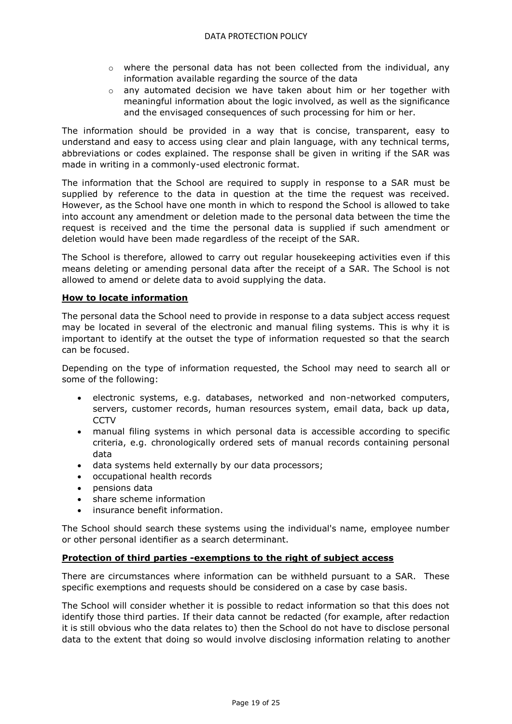- $\circ$  where the personal data has not been collected from the individual, any information available regarding the source of the data
- $\circ$  any automated decision we have taken about him or her together with meaningful information about the logic involved, as well as the significance and the envisaged consequences of such processing for him or her.

The information should be provided in a way that is concise, transparent, easy to understand and easy to access using clear and plain language, with any technical terms, abbreviations or codes explained. The response shall be given in writing if the SAR was made in writing in a commonly-used electronic format.

The information that the School are required to supply in response to a SAR must be supplied by reference to the data in question at the time the request was received. However, as the School have one month in which to respond the School is allowed to take into account any amendment or deletion made to the personal data between the time the request is received and the time the personal data is supplied if such amendment or deletion would have been made regardless of the receipt of the SAR.

The School is therefore, allowed to carry out regular housekeeping activities even if this means deleting or amending personal data after the receipt of a SAR. The School is not allowed to amend or delete data to avoid supplying the data.

# **How to locate information**

The personal data the School need to provide in response to a data subject access request may be located in several of the electronic and manual filing systems. This is why it is important to identify at the outset the type of information requested so that the search can be focused.

Depending on the type of information requested, the School may need to search all or some of the following:

- electronic systems, e.g. databases, networked and non-networked computers, servers, customer records, human resources system, email data, back up data, **CCTV**
- manual filing systems in which personal data is accessible according to specific criteria, e.g. chronologically ordered sets of manual records containing personal data
- data systems held externally by our data processors;
- occupational health records
- pensions data
- share scheme information
- insurance benefit information.

The School should search these systems using the individual's name, employee number or other personal identifier as a search determinant.

# **Protection of third parties -exemptions to the right of subject access**

There are circumstances where information can be withheld pursuant to a SAR. These specific exemptions and requests should be considered on a case by case basis.

The School will consider whether it is possible to redact information so that this does not identify those third parties. If their data cannot be redacted (for example, after redaction it is still obvious who the data relates to) then the School do not have to disclose personal data to the extent that doing so would involve disclosing information relating to another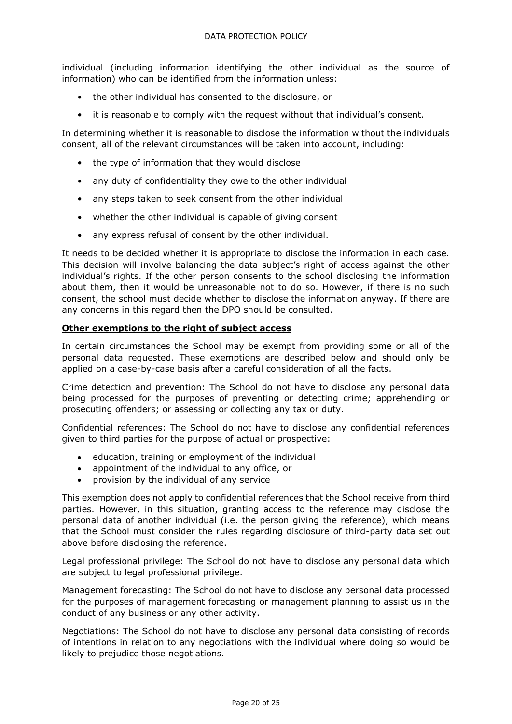individual (including information identifying the other individual as the source of information) who can be identified from the information unless:

- the other individual has consented to the disclosure, or
- it is reasonable to comply with the request without that individual's consent.

In determining whether it is reasonable to disclose the information without the individuals consent, all of the relevant circumstances will be taken into account, including:

- the type of information that they would disclose
- any duty of confidentiality they owe to the other individual
- any steps taken to seek consent from the other individual
- whether the other individual is capable of giving consent
- any express refusal of consent by the other individual.

It needs to be decided whether it is appropriate to disclose the information in each case. This decision will involve balancing the data subject's right of access against the other individual's rights. If the other person consents to the school disclosing the information about them, then it would be unreasonable not to do so. However, if there is no such consent, the school must decide whether to disclose the information anyway. If there are any concerns in this regard then the DPO should be consulted.

# **Other exemptions to the right of subject access**

In certain circumstances the School may be exempt from providing some or all of the personal data requested. These exemptions are described below and should only be applied on a case-by-case basis after a careful consideration of all the facts.

Crime detection and prevention: The School do not have to disclose any personal data being processed for the purposes of preventing or detecting crime; apprehending or prosecuting offenders; or assessing or collecting any tax or duty.

Confidential references: The School do not have to disclose any confidential references given to third parties for the purpose of actual or prospective:

- education, training or employment of the individual
- appointment of the individual to any office, or
- provision by the individual of any service

This exemption does not apply to confidential references that the School receive from third parties. However, in this situation, granting access to the reference may disclose the personal data of another individual (i.e. the person giving the reference), which means that the School must consider the rules regarding disclosure of third-party data set out above before disclosing the reference.

Legal professional privilege: The School do not have to disclose any personal data which are subject to legal professional privilege.

Management forecasting: The School do not have to disclose any personal data processed for the purposes of management forecasting or management planning to assist us in the conduct of any business or any other activity.

Negotiations: The School do not have to disclose any personal data consisting of records of intentions in relation to any negotiations with the individual where doing so would be likely to prejudice those negotiations.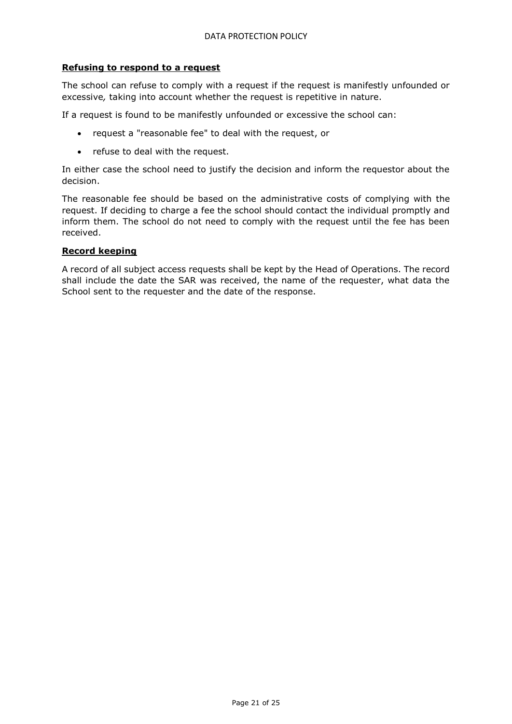#### **Refusing to respond to a request**

The school can refuse to comply with a request if the request is manifestly unfounded or excessive*,* taking into account whether the request is repetitive in nature.

If a request is found to be manifestly unfounded or excessive the school can:

- request a "reasonable fee" to deal with the request, or
- refuse to deal with the request.

In either case the school need to justify the decision and inform the requestor about the decision.

The reasonable fee should be based on the administrative costs of complying with the request. If deciding to charge a fee the school should contact the individual promptly and inform them. The school do not need to comply with the request until the fee has been received.

#### **Record keeping**

A record of all subject access requests shall be kept by the Head of Operations. The record shall include the date the SAR was received, the name of the requester, what data the School sent to the requester and the date of the response.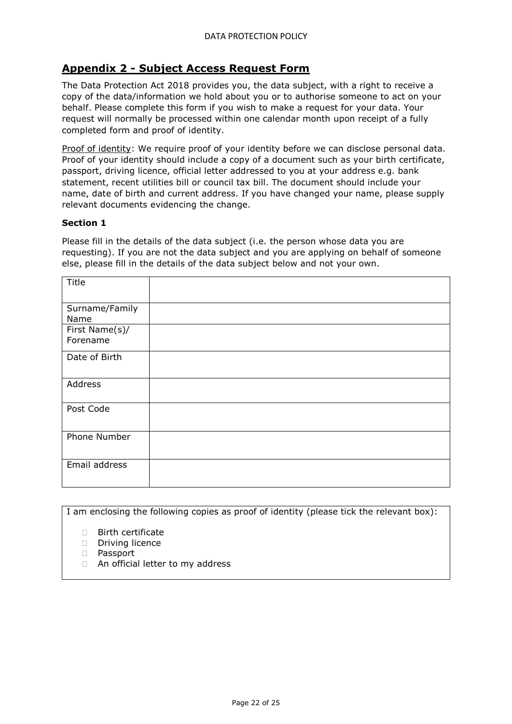# <span id="page-21-0"></span>**Appendix 2 - Subject Access Request Form**

The Data Protection Act 2018 provides you, the data subject, with a right to receive a copy of the data/information we hold about you or to authorise someone to act on your behalf. Please complete this form if you wish to make a request for your data. Your request will normally be processed within one calendar month upon receipt of a fully completed form and proof of identity.

Proof of identity: We require proof of your identity before we can disclose personal data. Proof of your identity should include a copy of a document such as your birth certificate, passport, driving licence, official letter addressed to you at your address e.g. bank statement, recent utilities bill or council tax bill. The document should include your name, date of birth and current address. If you have changed your name, please supply relevant documents evidencing the change.

#### **Section 1**

Please fill in the details of the data subject (i.e. the person whose data you are requesting). If you are not the data subject and you are applying on behalf of someone else, please fill in the details of the data subject below and not your own.

| Title          |  |
|----------------|--|
|                |  |
|                |  |
|                |  |
| Surname/Family |  |
| Name           |  |
|                |  |
| First Name(s)/ |  |
|                |  |
| Forename       |  |
|                |  |
| Date of Birth  |  |
|                |  |
|                |  |
|                |  |
| Address        |  |
|                |  |
|                |  |
|                |  |
| Post Code      |  |
|                |  |
|                |  |
|                |  |
| Phone Number   |  |
|                |  |
|                |  |
|                |  |
| Email address  |  |
|                |  |
|                |  |
|                |  |
|                |  |

I am enclosing the following copies as proof of identity (please tick the relevant box):

- □ Birth certificate
- $\Box$  Driving licence
- n Passport
- □ An official letter to my address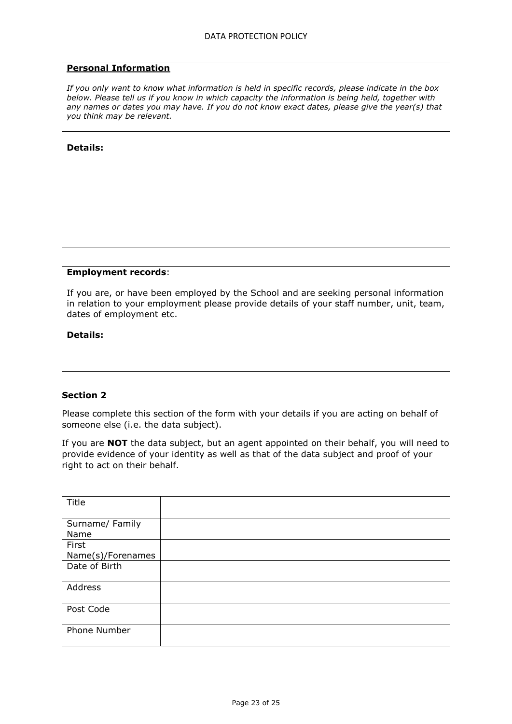#### **Personal Information**

*If you only want to know what information is held in specific records, please indicate in the box below. Please tell us if you know in which capacity the information is being held, together with any names or dates you may have. If you do not know exact dates, please give the year(s) that you think may be relevant.* 

#### **Details:**

#### **Employment records**:

If you are, or have been employed by the School and are seeking personal information in relation to your employment please provide details of your staff number, unit, team, dates of employment etc.

**Details:**

#### **Section 2**

Please complete this section of the form with your details if you are acting on behalf of someone else (i.e. the data subject).

If you are **NOT** the data subject, but an agent appointed on their behalf, you will need to provide evidence of your identity as well as that of the data subject and proof of your right to act on their behalf.

| Title             |  |
|-------------------|--|
| Surname/ Family   |  |
| Name              |  |
| First             |  |
| Name(s)/Forenames |  |
| Date of Birth     |  |
| Address           |  |
| Post Code         |  |
| Phone Number      |  |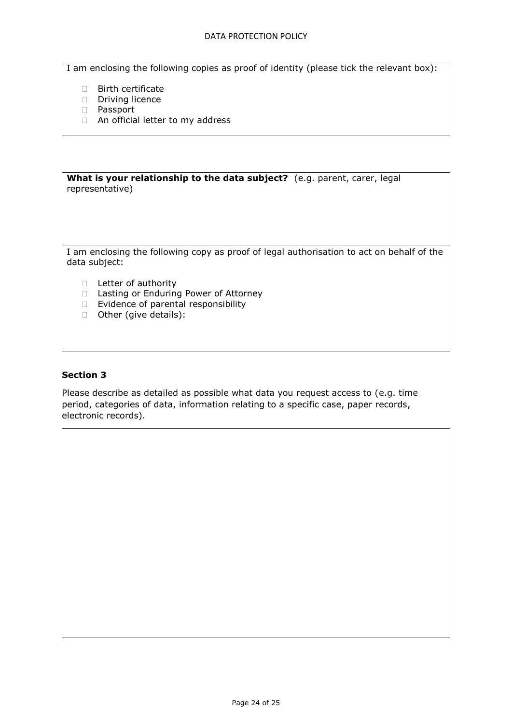#### DATA PROTECTION POLICY

I am enclosing the following copies as proof of identity (please tick the relevant box):

- **Birth certificate**
- Driving licence
- D Passport
- □ An official letter to my address

**What is your relationship to the data subject?** (e.g. parent, carer, legal representative) I am enclosing the following copy as proof of legal authorisation to act on behalf of the data subject: D Letter of authority □ Lasting or Enduring Power of Attorney

- Evidence of parental responsibility
- □ Other (give details):

#### **Section 3**

Please describe as detailed as possible what data you request access to (e.g. time period, categories of data, information relating to a specific case, paper records, electronic records).